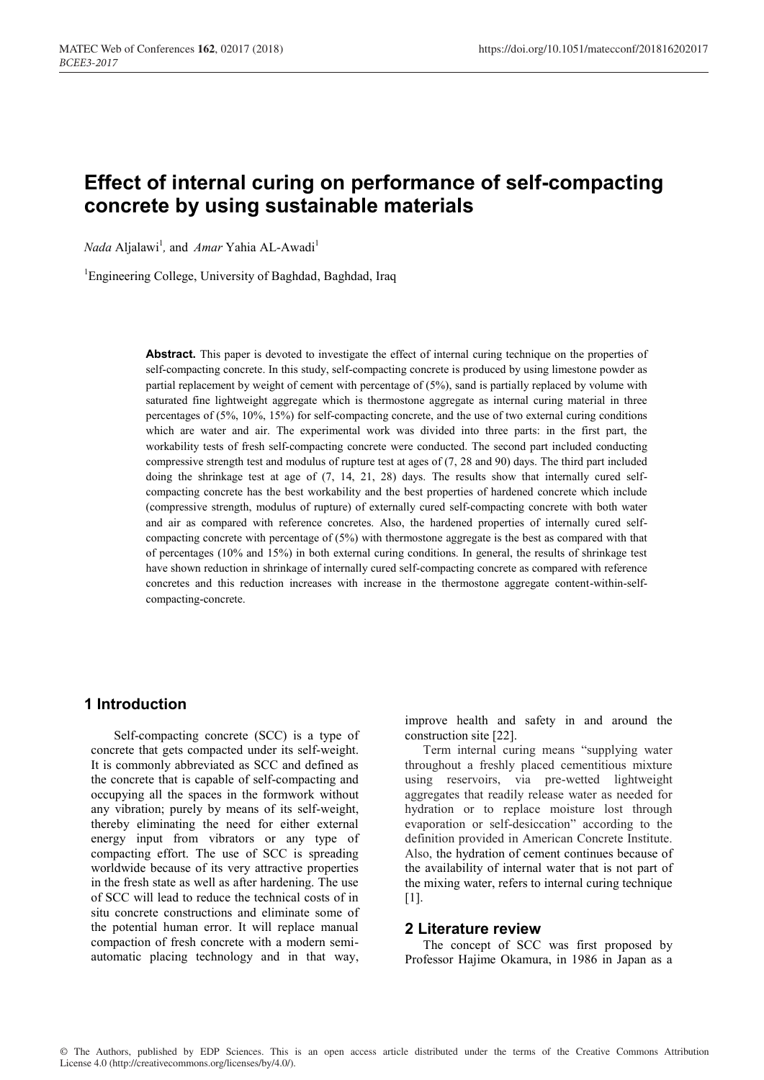# **Effect of internal curing on performance of self-compacting concrete by using sustainable materials**

*Nada* Aljalawi<sup>1</sup>, and *Amar* Yahia AL-Awadi<sup>1</sup>

<sup>1</sup>Engineering College, University of Baghdad, Baghdad, Iraq

**Abstract.** This paper is devoted to investigate the effect of internal curing technique on the properties of self-compacting concrete. In this study, self-compacting concrete is produced by using limestone powder as partial replacement by weight of cement with percentage of (5%), sand is partially replaced by volume with saturated fine lightweight aggregate which is thermostone aggregate as internal curing material in three percentages of (5%, 10%, 15%) for self-compacting concrete, and the use of two external curing conditions which are water and air. The experimental work was divided into three parts: in the first part, the workability tests of fresh self-compacting concrete were conducted. The second part included conducting compressive strength test and modulus of rupture test at ages of (7, 28 and 90) days. The third part included doing the shrinkage test at age of (7, 14, 21, 28) days. The results show that internally cured selfcompacting concrete has the best workability and the best properties of hardened concrete which include (compressive strength, modulus of rupture) of externally cured self-compacting concrete with both water and air as compared with reference concretes. Also, the hardened properties of internally cured selfcompacting concrete with percentage of (5%) with thermostone aggregate is the best as compared with that of percentages (10% and 15%) in both external curing conditions. In general, the results of shrinkage test have shown reduction in shrinkage of internally cured self-compacting concrete as compared with reference concretes and this reduction increases with increase in the thermostone aggregate content-within-selfcompacting-concrete.

# **1 Introduction**

Self-compacting concrete (SCC) is a type of concrete that gets compacted under its self-weight. It is commonly abbreviated as SCC and defined as the concrete that is capable of self-compacting and occupying all the spaces in the formwork without any vibration; purely by means of its self-weight, thereby eliminating the need for either external energy input from vibrators or any type of compacting effort. The use of SCC is spreading worldwide because of its very attractive properties in the fresh state as well as after hardening. The use of SCC will lead to reduce the technical costs of in situ concrete constructions and eliminate some of the potential human error. It will replace manual compaction of fresh concrete with a modern semiautomatic placing technology and in that way,

improve health and safety in and around the construction site [22].

Term internal curing means "supplying water throughout a freshly placed cementitious mixture using reservoirs, via pre-wetted lightweight aggregates that readily release water as needed for hydration or to replace moisture lost through evaporation or self-desiccation" according to the definition provided in American Concrete Institute. Also, the hydration of cement continues because of the availability of internal water that is not part of the mixing water, refers to internal curing technique [1].

#### **2 Literature review**

The concept of SCC was first proposed by Professor Hajime Okamura, in 1986 in Japan as a

© The Authors, published by EDP Sciences. This is an open access article distributed under the terms of the Creative Commons Attribution License 4.0 (http://creativecommons.org/licenses/by/4.0/).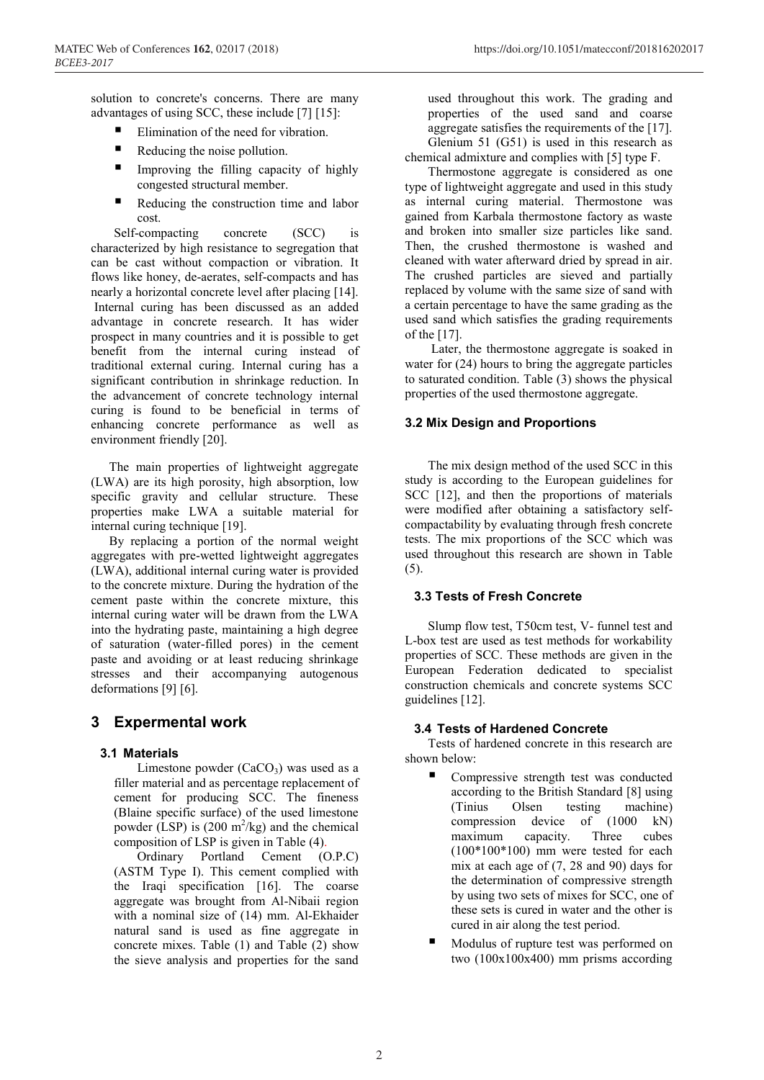MATEC Web of Conferences **162**, 02017 (2018) https://doi.org/10.1051/matecconf/201816202017

solution to concrete's concerns. There are many advantages of using SCC, these include [7] [15]:

- Elimination of the need for vibration.
- $\blacksquare$  Reducing the noise pollution.
- Improving the filling capacity of highly congested structural member.
- Reducing the construction time and labor cost.

Self-compacting concrete (SCC) is characterized by high resistance to segregation that can be cast without compaction or vibration. It flows like honey, de-aerates, self-compacts and has nearly a horizontal concrete level after placing [14]. Internal curing has been discussed as an added advantage in concrete research. It has wider prospect in many countries and it is possible to get benefit from the internal curing instead of traditional external curing. Internal curing has a significant contribution in shrinkage reduction. In the advancement of concrete technology internal curing is found to be beneficial in terms of enhancing concrete performance as well as environment friendly [20].

The main properties of lightweight aggregate (LWA) are its high porosity, high absorption, low specific gravity and cellular structure. These properties make LWA a suitable material for internal curing technique [19].

By replacing a portion of the normal weight aggregates with pre-wetted lightweight aggregates (LWA), additional internal curing water is provided to the concrete mixture. During the hydration of the cement paste within the concrete mixture, this internal curing water will be drawn from the LWA into the hydrating paste, maintaining a high degree of saturation (water-filled pores) in the cement paste and avoiding or at least reducing shrinkage stresses and their accompanying autogenous deformations [9] [6].

# **3 Expermental work**

# **3.1 Materials**

Limestone powder  $(CaCO<sub>3</sub>)$  was used as a filler material and as percentage replacement of cement for producing SCC. The fineness (Blaine specific surface) of the used limestone powder (LSP) is  $(200 \text{ m}^2/\text{kg})$  and the chemical composition of LSP is given in Table (4).

Ordinary Portland Cement (O.P.C) (ASTM Type I). This cement complied with the Iraqi specification [16]. The coarse aggregate was brought from Al-Nibaii region with a nominal size of (14) mm. Al-Ekhaider natural sand is used as fine aggregate in concrete mixes. Table (1) and Table (2) show the sieve analysis and properties for the sand

used throughout this work. The grading and properties of the used sand and coarse aggregate satisfies the requirements of the [17]. Glenium 51 (G51) is used in this research as chemical admixture and complies with [5] type F.

Thermostone aggregate is considered as one type of lightweight aggregate and used in this study as internal curing material. Thermostone was gained from Karbala thermostone factory as waste and broken into smaller size particles like sand. Then, the crushed thermostone is washed and cleaned with water afterward dried by spread in air. The crushed particles are sieved and partially replaced by volume with the same size of sand with a certain percentage to have the same grading as the used sand which satisfies the grading requirements of the [17].

Later, the thermostone aggregate is soaked in water for (24) hours to bring the aggregate particles to saturated condition. Table (3) shows the physical properties of the used thermostone aggregate.

# **3.2 Mix Design and Proportions**

The mix design method of the used SCC in this study is according to the European guidelines for SCC [12], and then the proportions of materials were modified after obtaining a satisfactory selfcompactability by evaluating through fresh concrete tests. The mix proportions of the SCC which was used throughout this research are shown in Table (5).

# **3.3 Tests of Fresh Concrete**

Slump flow test, T50cm test, V- funnel test and L-box test are used as test methods for workability properties of SCC. These methods are given in the European Federation dedicated to specialist construction chemicals and concrete systems SCC guidelines [12].

# **3.4 Tests of Hardened Concrete**

Tests of hardened concrete in this research are shown below:

- Compressive strength test was conducted according to the British Standard [8] using (Tinius Olsen testing machine) compression device of (1000 kN) maximum capacity. Three cubes (100\*100\*100) mm were tested for each mix at each age of (7, 28 and 90) days for the determination of compressive strength by using two sets of mixes for SCC, one of these sets is cured in water and the other is cured in air along the test period.
- Modulus of rupture test was performed on two (100x100x400) mm prisms according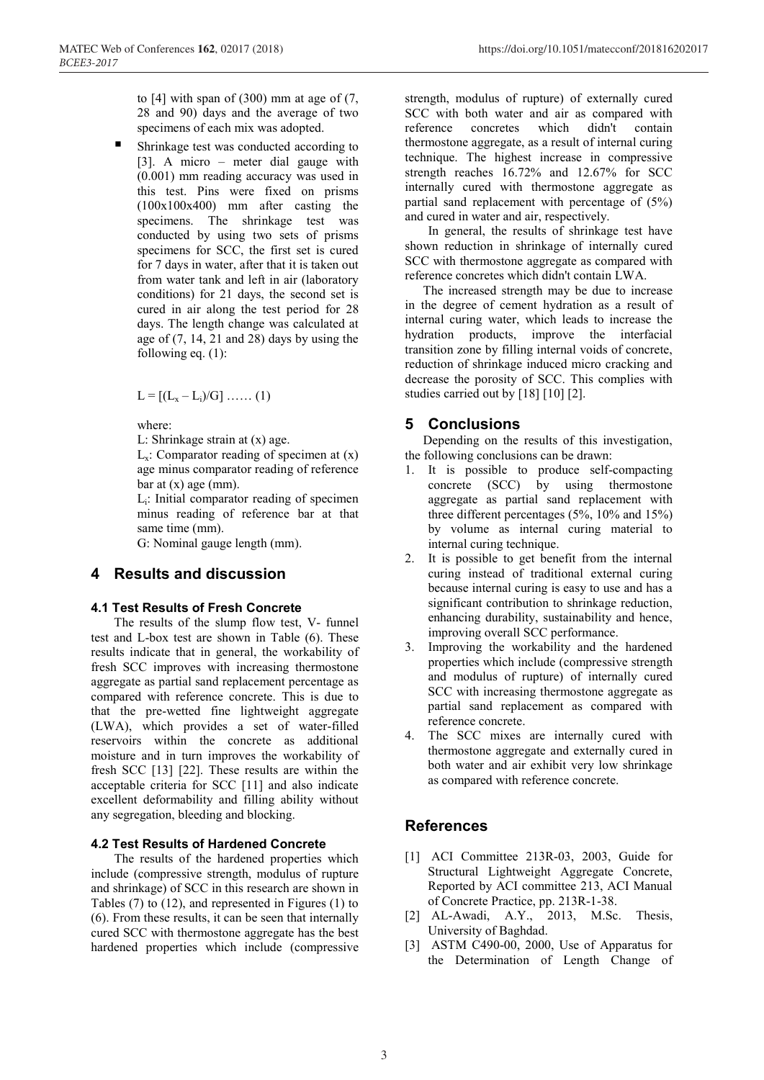to  $[4]$  with span of  $(300)$  mm at age of  $(7, 6)$ 28 and 90) days and the average of two specimens of each mix was adopted.

 Shrinkage test was conducted according to [3]. A micro – meter dial gauge with (0.001) mm reading accuracy was used in this test. Pins were fixed on prisms (100x100x400) mm after casting the specimens. The shrinkage test was conducted by using two sets of prisms specimens for SCC, the first set is cured for 7 days in water, after that it is taken out from water tank and left in air (laboratory conditions) for 21 days, the second set is cured in air along the test period for 28 days. The length change was calculated at age of  $(7, 14, 21, 28)$  days by using the following eq.  $(1)$ :

 $L = [(L_x - L_i)/G] \dots (1)$ 

where:

L: Shrinkage strain at (x) age.

 $L_x$ : Comparator reading of specimen at  $(x)$ age minus comparator reading of reference  $bar at (x) age (mm).$ 

Li: Initial comparator reading of specimen minus reading of reference bar at that same time (mm).

G: Nominal gauge length (mm).

# **4 Results and discussion**

#### **4.1 Test Results of Fresh Concrete**

The results of the slump flow test, V- funnel test and L-box test are shown in Table (6). These results indicate that in general, the workability of fresh SCC improves with increasing thermostone aggregate as partial sand replacement percentage as compared with reference concrete. This is due to that the pre-wetted fine lightweight aggregate (LWA), which provides a set of water-filled reservoirs within the concrete as additional moisture and in turn improves the workability of fresh SCC [13] [22]. These results are within the acceptable criteria for SCC [11] and also indicate excellent deformability and filling ability without any segregation, bleeding and blocking.

#### **4.2 Test Results of Hardened Concrete**

The results of the hardened properties which include (compressive strength, modulus of rupture and shrinkage) of SCC in this research are shown in Tables (7) to (12), and represented in Figures (1) to (6). From these results, it can be seen that internally cured SCC with thermostone aggregate has the best hardened properties which include (compressive

strength, modulus of rupture) of externally cured SCC with both water and air as compared with reference concretes which didn't contain thermostone aggregate, as a result of internal curing technique. The highest increase in compressive strength reaches 16.72% and 12.67% for SCC internally cured with thermostone aggregate as partial sand replacement with percentage of (5%) and cured in water and air, respectively.

In general, the results of shrinkage test have shown reduction in shrinkage of internally cured SCC with thermostone aggregate as compared with reference concretes which didn't contain LWA.

The increased strength may be due to increase in the degree of cement hydration as a result of internal curing water, which leads to increase the hydration products, improve the interfacial transition zone by filling internal voids of concrete, reduction of shrinkage induced micro cracking and decrease the porosity of SCC. This complies with studies carried out by [18] [10] [2].

# **5 Conclusions**

Depending on the results of this investigation, the following conclusions can be drawn:

- 1. It is possible to produce self-compacting concrete (SCC) by using thermostone aggregate as partial sand replacement with three different percentages (5%, 10% and 15%) by volume as internal curing material to internal curing technique.
- 2. It is possible to get benefit from the internal curing instead of traditional external curing because internal curing is easy to use and has a significant contribution to shrinkage reduction, enhancing durability, sustainability and hence, improving overall SCC performance.
- 3. Improving the workability and the hardened properties which include (compressive strength and modulus of rupture) of internally cured SCC with increasing thermostone aggregate as partial sand replacement as compared with reference concrete.
- 4. The SCC mixes are internally cured with thermostone aggregate and externally cured in both water and air exhibit very low shrinkage as compared with reference concrete.

# **References**

- [1] ACI Committee 213R-03, 2003, Guide for Structural Lightweight Aggregate Concrete, Reported by ACI committee 213, ACI Manual of Concrete Practice, pp. 213R-1-38.
- [2] AL-Awadi, A.Y., 2013, M.Sc. Thesis, University of Baghdad.
- [3] ASTM C490-00, 2000, Use of Apparatus for the Determination of Length Change of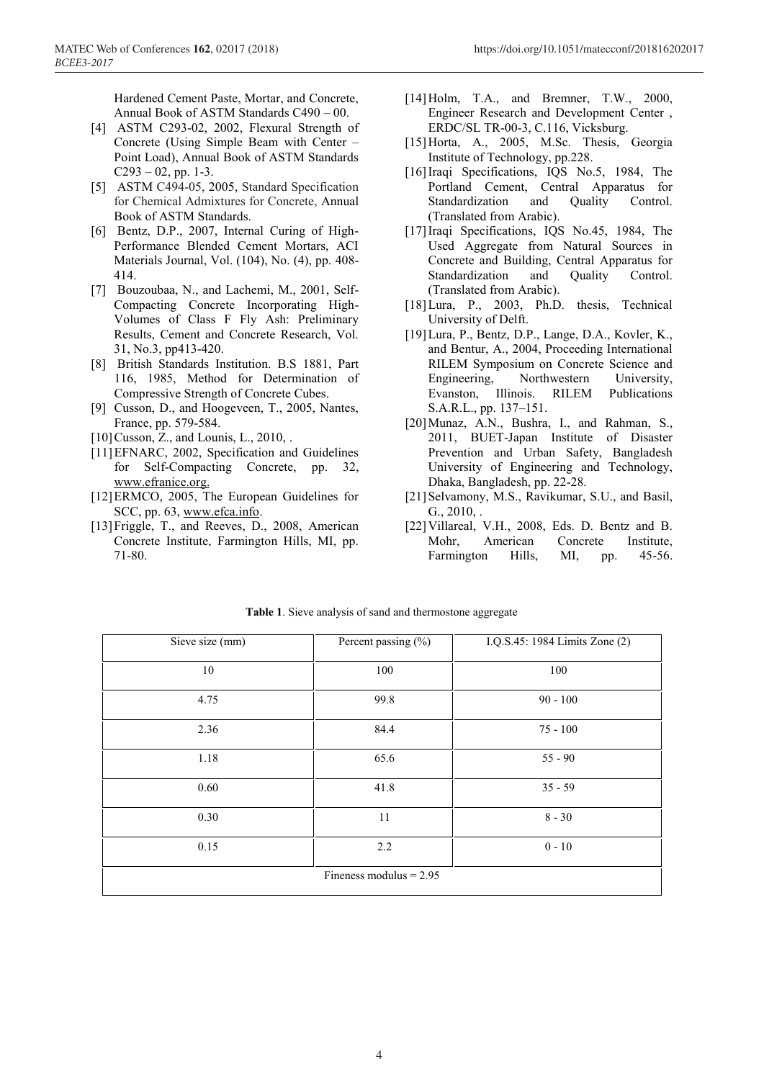Hardened Cement Paste, Mortar, and Concrete, Annual Book of ASTM Standards C490 – 00.

- [4] ASTM C293-02, 2002, Flexural Strength of Concrete (Using Simple Beam with Center – Point Load), Annual Book of ASTM Standards  $C293 - 02$ , pp. 1-3.
- [5] ASTM C494-05, 2005, Standard Specification for Chemical Admixtures for Concrete, Annual Book of ASTM Standards.
- [6] Bentz, D.P., 2007, Internal Curing of High-Performance Blended Cement Mortars, ACI Materials Journal, Vol. (104), No. (4), pp. 408- 414.
- [7] Bouzoubaa, N., and Lachemi, M., 2001, Self-Compacting Concrete Incorporating High-Volumes of Class F Fly Ash: Preliminary Results, Cement and Concrete Research, Vol. 31, No.3, pp413-420.
- [8] British Standards Institution. B.S 1881, Part 116, 1985, Method for Determination of Compressive Strength of Concrete Cubes.
- [9] Cusson, D., and Hoogeveen, T., 2005, Nantes, France, pp. 579-584.
- [10] Cusson, Z., and Lounis, L., 2010, .
- [11]EFNARC, 2002, Specification and Guidelines for Self-Compacting Concrete, pp. 32, www.efranice.org.
- [12]ERMCO, 2005, The European Guidelines for SCC, pp. 63, www.efca.info.
- [13]Friggle, T., and Reeves, D., 2008, American Concrete Institute, Farmington Hills, MI, pp. 71-80.
- [14] Holm, T.A., and Bremner, T.W., 2000, Engineer Research and Development Center , ERDC/SL TR-00-3, C.116, Vicksburg.
- [15]Horta, A., 2005, M.Sc. Thesis, Georgia Institute of Technology, pp.228.
- [16]Iraqi Specifications, IQS No.5, 1984, The Portland Cement, Central Apparatus for Standardization and Ouality Control. (Translated from Arabic).
- [17]Iraqi Specifications, IQS No.45, 1984, The Used Aggregate from Natural Sources in Concrete and Building, Central Apparatus for Standardization and Ouality Control. (Translated from Arabic).
- [18] Lura, P., 2003, Ph.D. thesis, Technical University of Delft.
- [19]Lura, P., Bentz, D.P., Lange, D.A., Kovler, K., and Bentur, A., 2004, Proceeding International RILEM Symposium on Concrete Science and Engineering, Northwestern University, Evanston, Illinois. RILEM Publications S.A.R.L., pp. 137–151.
- [20]Munaz, A.N., Bushra, I., and Rahman, S., 2011, BUET-Japan Institute of Disaster Prevention and Urban Safety, Bangladesh University of Engineering and Technology, Dhaka, Bangladesh, pp. 22-28.
- [21] Selvamony, M.S., Ravikumar, S.U., and Basil,  $G_{.,} 2010_{,}$ .
- [22]Villareal, V.H., 2008, Eds. D. Bentz and B. Mohr, American Concrete Institute, Farmington Hills, MI, pp. 45-56.

| Sieve size (mm) | Percent passing (%)       | I.Q.S.45: 1984 Limits Zone (2) |  |  |
|-----------------|---------------------------|--------------------------------|--|--|
| 10              | 100                       | 100                            |  |  |
| 4.75            | 99.8                      | $90 - 100$                     |  |  |
| 2.36            | 84.4                      | $75 - 100$                     |  |  |
| 1.18            | 65.6                      | $55 - 90$                      |  |  |
| 0.60            | 41.8                      | $35 - 59$                      |  |  |
| 0.30            | 11                        | $8 - 30$                       |  |  |
| 0.15            | 2.2                       | $0 - 10$                       |  |  |
|                 | Fineness modulus $= 2.95$ |                                |  |  |

**Table 1**. Sieve analysis of sand and thermostone aggregate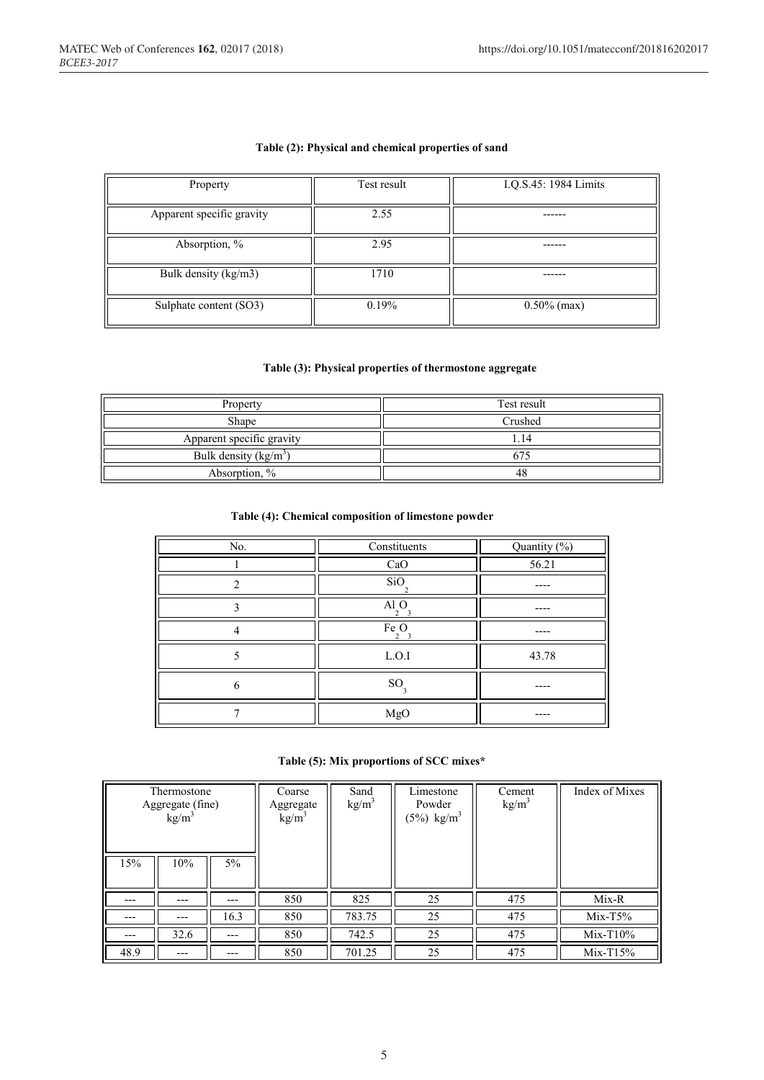#### **Table (2): Physical and chemical properties of sand**

| Property                  | Test result | I.Q.S.45: 1984 Limits |
|---------------------------|-------------|-----------------------|
| Apparent specific gravity | 2.55        |                       |
| Absorption, %             | 2.95        |                       |
| Bulk density (kg/m3)      | 1710        |                       |
| Sulphate content (SO3)    | 0.19%       | $0.50\%$ (max)        |

### **Table (3): Physical properties of thermostone aggregate**

| Property                  | Test result |  |
|---------------------------|-------------|--|
| Shape                     | Crushed     |  |
| Apparent specific gravity | .14         |  |
| Bulk density $(kg/m3)$    |             |  |
| Absorption, %             | 48          |  |

#### **Table (4): Chemical composition of limestone powder**

| No. | Constituents  | Quantity (%) |
|-----|---------------|--------------|
|     | CaO           | 56.21        |
|     | SiO           |              |
| ◠   | Al O          |              |
|     | Fe O<br>າ     |              |
|     | L.O.I         | 43.78        |
| h   | <sub>SO</sub> |              |
|     | MgO           |              |

### **Table (5): Mix proportions of SCC mixes\***

| Thermostone<br>Aggregate (fine)<br>$kg/m^3$ |      | Coarse<br>Aggregate<br>$\text{kg/m}^3$ | Sand<br>$\text{kg/m}^3$ | Limestone<br>Powder<br>$(5%)$ kg/m <sup>3</sup> | Cement<br>kg/m <sup>3</sup> | Index of Mixes |             |
|---------------------------------------------|------|----------------------------------------|-------------------------|-------------------------------------------------|-----------------------------|----------------|-------------|
| 15%                                         | 10%  | $5\%$                                  |                         |                                                 |                             |                |             |
|                                             | ---  | $---$                                  | 850                     | 825                                             | 25                          | 475            | $Mix-R$     |
|                                             |      | 16.3                                   | 850                     | 783.75                                          | 25                          | 475            | $Mix-T5%$   |
| ---                                         | 32.6 | ---                                    | 850                     | 742.5                                           | 25                          | 475            | $Mix-T10\%$ |
| 48.9                                        |      |                                        | 850                     | 701.25                                          | 25                          | 475            | $Mix-T15%$  |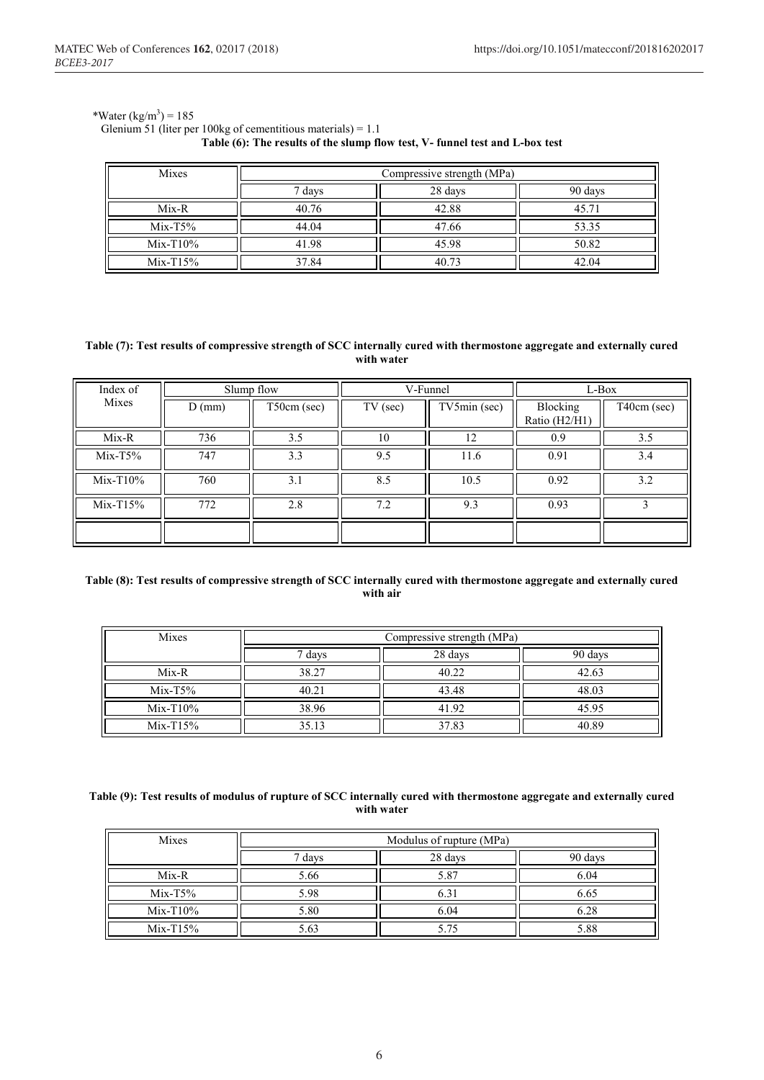#### \*Water  $(kg/m^3) = 185$

#### Glenium 51 (liter per 100kg of cementitious materials) = 1.1 **Table (6): The results of the slump flow test, V- funnel test and L-box test**

| Mixes       | Compressive strength (MPa)   |       |       |  |  |  |  |
|-------------|------------------------------|-------|-------|--|--|--|--|
|             | 28 days<br>90 days<br>7 days |       |       |  |  |  |  |
| $Mix-R$     | 40.76                        | 42.88 | 45.71 |  |  |  |  |
| $Mix-T5\%$  | 44.04                        | 47.66 | 53.35 |  |  |  |  |
| $Mix-T10\%$ | 41.98                        | 45.98 | 50.82 |  |  |  |  |
| $Mix-T15\%$ | 37.84                        | 40.73 | 42.04 |  |  |  |  |

#### **Table (7): Test results of compressive strength of SCC internally cured with thermostone aggregate and externally cured with water**

| Index of    | Slump flow |             | V-Funnel   |              | L-Box                     |             |
|-------------|------------|-------------|------------|--------------|---------------------------|-------------|
| Mixes       | $D$ (mm)   | T50cm (sec) | $TV$ (sec) | TV5min (sec) | Blocking<br>Ratio (H2/H1) | T40cm (sec) |
| Mix-R       | 736        | 3.5         | 10         | 12           | 0.9                       | 3.5         |
| $Mix-T5\%$  | 747        | 3.3         | 9.5        | 11.6         | 0.91                      | 3.4         |
| $Mix-T10\%$ | 760        | 3.1         | 8.5        | 10.5         | 0.92                      | 3.2         |
| $Mix-T15%$  | 772        | 2.8         | 7.2        | 9.3          | 0.93                      |             |
|             |            |             |            |              |                           |             |

#### **Table (8): Test results of compressive strength of SCC internally cured with thermostone aggregate and externally cured with air**

| Mixes       | Compressive strength (MPa) |       |       |  |  |  |  |
|-------------|----------------------------|-------|-------|--|--|--|--|
|             | 90 days<br>28 days<br>days |       |       |  |  |  |  |
| $Mix-R$     | 38.27                      | 40.22 | 42.63 |  |  |  |  |
| $Mix-T5\%$  | 40.21                      | 43.48 | 48.03 |  |  |  |  |
| $Mix-T10\%$ | 38.96                      | 41.92 | 45.95 |  |  |  |  |
| $Mix-T15\%$ | 35.13                      | 37.83 | 40.89 |  |  |  |  |

#### **Table (9): Test results of modulus of rupture of SCC internally cured with thermostone aggregate and externally cured with water**

| Mixes       | Modulus of rupture (MPa)     |      |      |  |  |  |  |
|-------------|------------------------------|------|------|--|--|--|--|
|             | 28 days<br>90 days<br>7 days |      |      |  |  |  |  |
| $Mix-R$     | 5.66                         | 5.87 | 6.04 |  |  |  |  |
| $Mix-T5\%$  | 5.98                         | 6.31 | 6.65 |  |  |  |  |
| $Mix-T10\%$ | 5.80                         | 6.04 | 6.28 |  |  |  |  |
| $Mix-T15%$  |                              | .75  |      |  |  |  |  |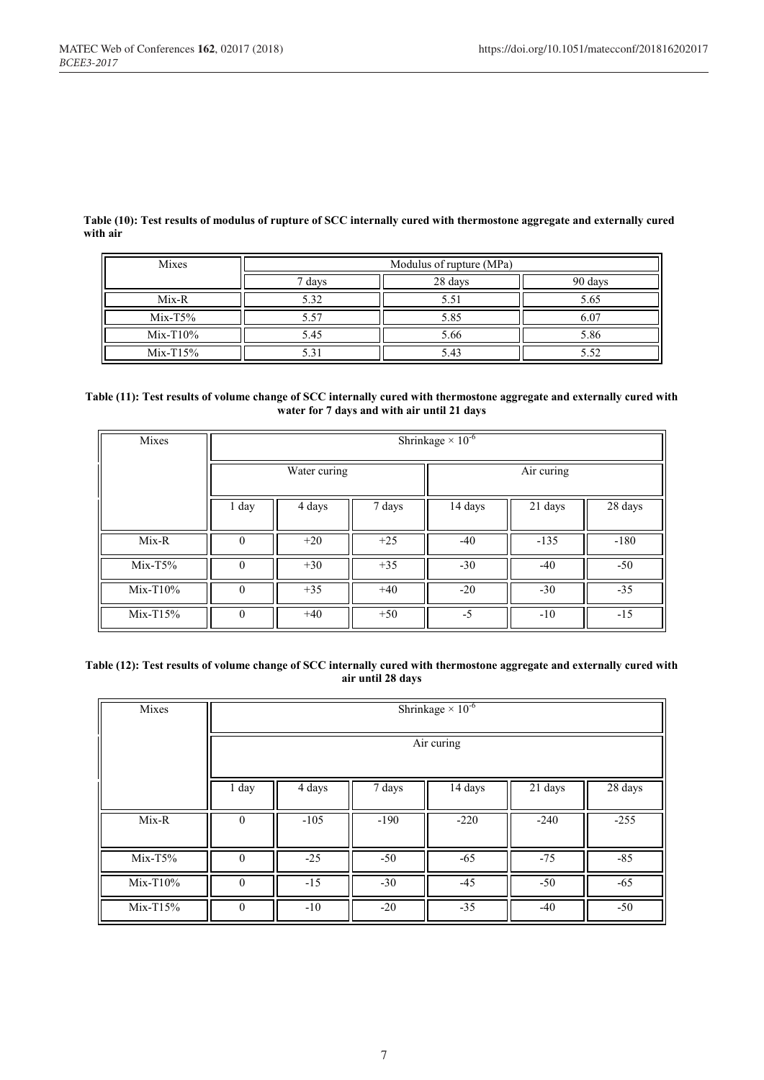**Table (10): Test results of modulus of rupture of SCC internally cured with thermostone aggregate and externally cured with air**

| Mixes       | Modulus of rupture (MPa)     |      |      |  |  |  |  |
|-------------|------------------------------|------|------|--|--|--|--|
|             | 90 days<br>28 days<br>7 days |      |      |  |  |  |  |
| $Mix-R$     | 5.32                         | 5.51 | 5.65 |  |  |  |  |
| $Mix-T5\%$  | 5.57                         | 5.85 |      |  |  |  |  |
| $Mix-T10\%$ | 5.45                         | 5.66 | 5.86 |  |  |  |  |
| $Mix-T15%$  |                              | 5.43 |      |  |  |  |  |

#### **Table (11): Test results of volume change of SCC internally cured with thermostone aggregate and externally cured with water for 7 days and with air until 21 days**

| Mixes       | Shrinkage $\times$ 10 <sup>-6</sup> |              |        |         |            |                      |  |
|-------------|-------------------------------------|--------------|--------|---------|------------|----------------------|--|
|             |                                     | Water curing |        |         | Air curing |                      |  |
|             | 1 day                               | 4 days       | 7 days | 14 days | 21 days    | $\overline{28}$ days |  |
| Mix-R       | $\Omega$                            | $+20$        | $+25$  | $-40$   | $-135$     | $-180$               |  |
| $Mix-T5\%$  | $\theta$                            | $+30$        | $+35$  | $-30$   | $-40$      | $-50$                |  |
| $Mix-T10\%$ | $\Omega$                            | $+35$        | $+40$  | $-20$   | $-30$      | $-35$                |  |
| $Mix-T15%$  | $\Omega$                            | $+40$        | $+50$  | $-5$    | $-10$      | $-15$                |  |

#### **Table (12): Test results of volume change of SCC internally cured with thermostone aggregate and externally cured with air until 28 days**

| Mixes       | Shrinkage $\times \overline{10^{-6}}$ |                                                                             |        |        |        |        |  |  |
|-------------|---------------------------------------|-----------------------------------------------------------------------------|--------|--------|--------|--------|--|--|
|             | Air curing                            |                                                                             |        |        |        |        |  |  |
|             | 1 day                                 | $\overline{21}$ days<br>$\overline{28}$ days<br>14 days<br>4 days<br>7 days |        |        |        |        |  |  |
| $Mix-R$     | $\mathbf{0}$                          | $-105$                                                                      | $-190$ | $-220$ | $-240$ | $-255$ |  |  |
| $Mix-T5\%$  | $\theta$                              | $-25$                                                                       | $-50$  | $-65$  | $-75$  | $-85$  |  |  |
| $Mix-T10\%$ | $\theta$                              | $-15$<br>$-30$<br>$-45$<br>$-65$<br>$-50$                                   |        |        |        |        |  |  |
| $Mix-T15%$  | $\theta$                              | $-10$                                                                       | $-20$  | $-35$  | $-40$  | $-50$  |  |  |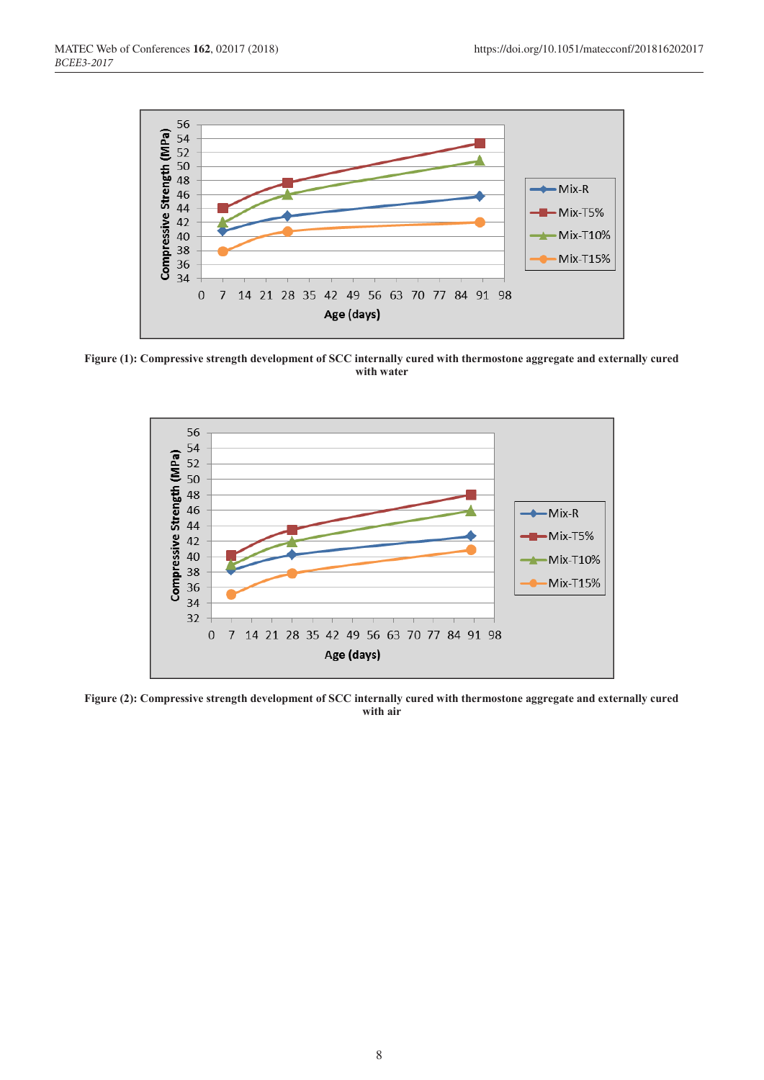

**Figure (1): Compressive strength development of SCC internally cured with thermostone aggregate and externally cured with water**



**Figure (2): Compressive strength development of SCC internally cured with thermostone aggregate and externally cured with air**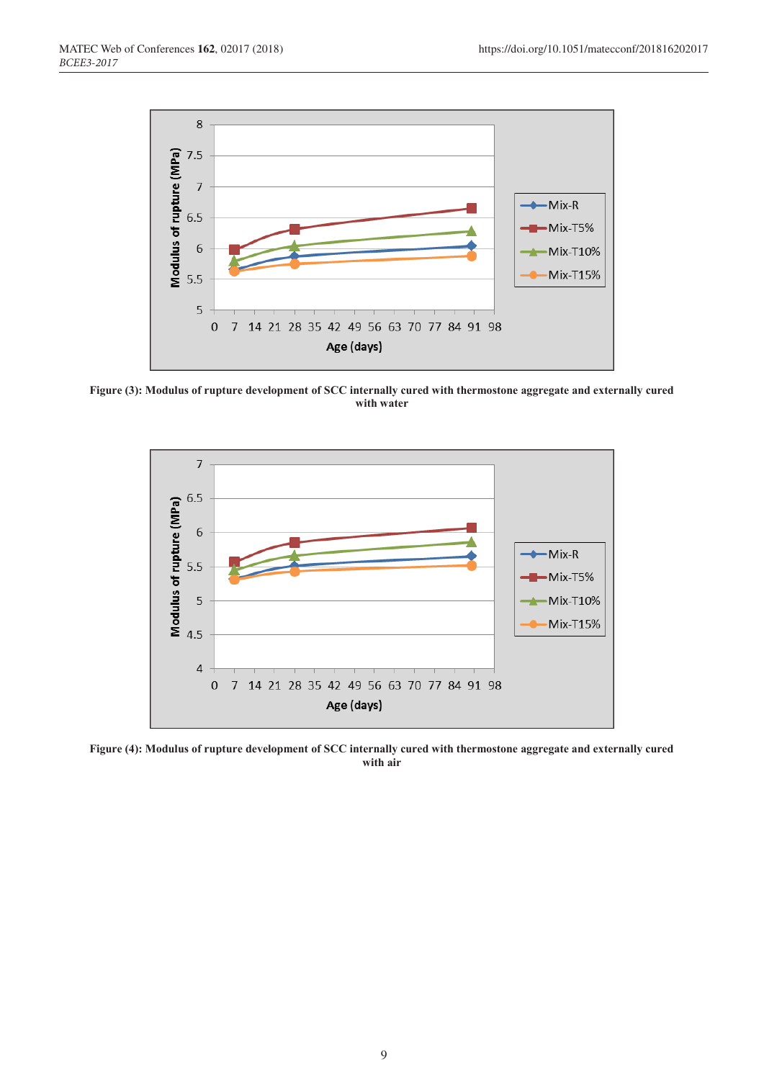

**Figure (3): Modulus of rupture development of SCC internally cured with thermostone aggregate and externally cured with water**



**Figure (4): Modulus of rupture development of SCC internally cured with thermostone aggregate and externally cured with air**